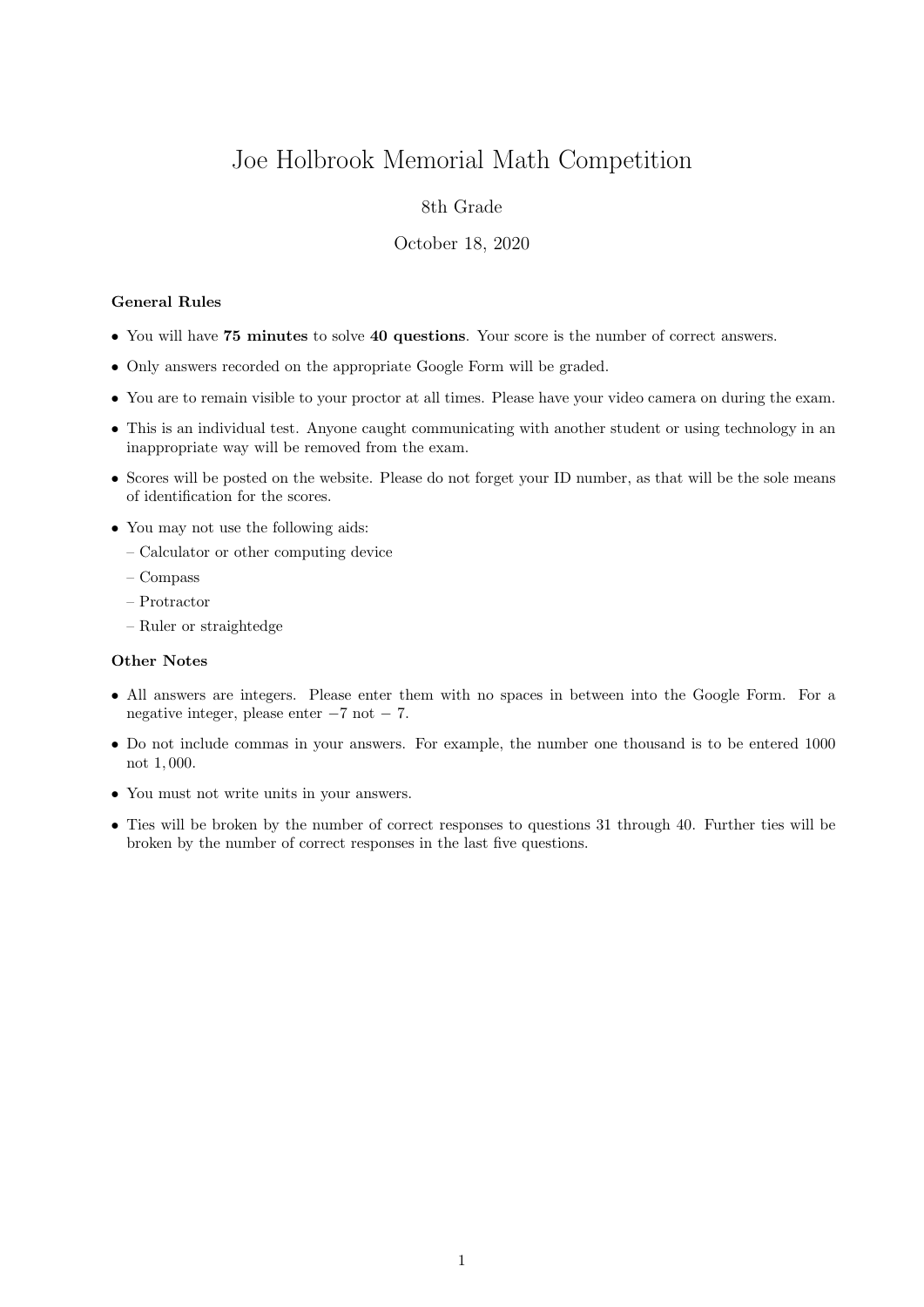# Joe Holbrook Memorial Math Competition

## 8th Grade

### October 18, 2020

## General Rules

- You will have 75 minutes to solve 40 questions. Your score is the number of correct answers.
- Only answers recorded on the appropriate Google Form will be graded.
- You are to remain visible to your proctor at all times. Please have your video camera on during the exam.
- This is an individual test. Anyone caught communicating with another student or using technology in an inappropriate way will be removed from the exam.
- Scores will be posted on the website. Please do not forget your ID number, as that will be the sole means of identification for the scores.
- You may not use the following aids:
	- Calculator or other computing device
	- Compass
	- Protractor
	- Ruler or straightedge

#### Other Notes

- All answers are integers. Please enter them with no spaces in between into the Google Form. For a negative integer, please enter −7 not − 7.
- Do not include commas in your answers. For example, the number one thousand is to be entered 1000 not 1, 000.
- You must not write units in your answers.
- Ties will be broken by the number of correct responses to questions 31 through 40. Further ties will be broken by the number of correct responses in the last five questions.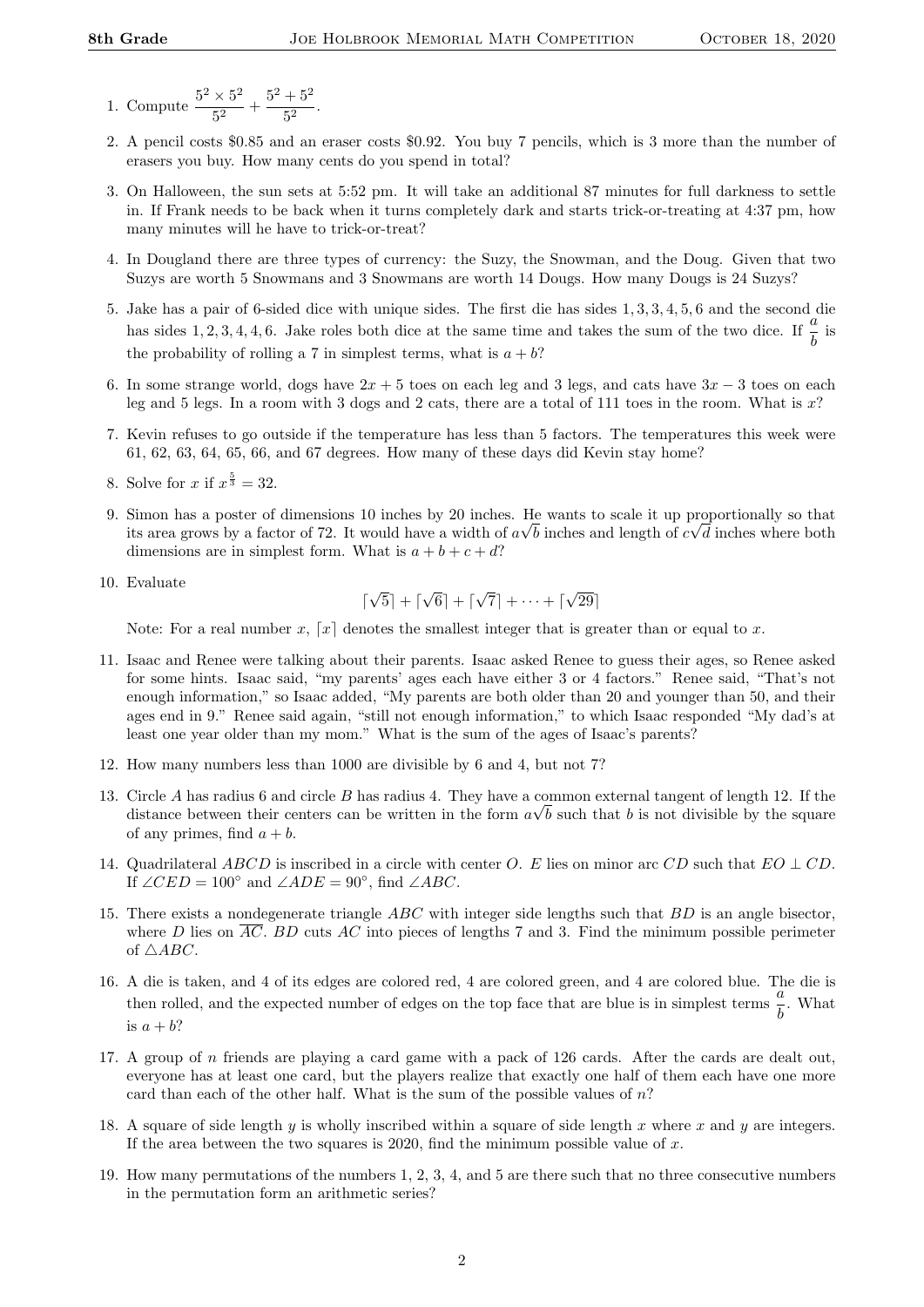- 1. Compute  $\frac{5^2 \times 5^2}{5^2}$  $\frac{1}{5^2}$  +  $\frac{5^2+5^2}{5^2}$  $\frac{1}{5^2}$ .
- 2. A pencil costs \$0.85 and an eraser costs \$0.92. You buy 7 pencils, which is 3 more than the number of erasers you buy. How many cents do you spend in total?
- 3. On Halloween, the sun sets at 5:52 pm. It will take an additional 87 minutes for full darkness to settle in. If Frank needs to be back when it turns completely dark and starts trick-or-treating at 4:37 pm, how many minutes will he have to trick-or-treat?
- 4. In Dougland there are three types of currency: the Suzy, the Snowman, and the Doug. Given that two Suzys are worth 5 Snowmans and 3 Snowmans are worth 14 Dougs. How many Dougs is 24 Suzys?
- 5. Jake has a pair of 6-sided dice with unique sides. The first die has sides 1, 3, 3, 4, 5, 6 and the second die has sides 1, 2, 3, 4, 4, 6. Jake roles both dice at the same time and takes the sum of the two dice. If  $\frac{a}{b}$  is the probability of rolling a 7 in simplest terms, what is  $a + b$ ?
- 6. In some strange world, dogs have  $2x + 5$  toes on each leg and 3 legs, and cats have  $3x 3$  toes on each leg and 5 legs. In a room with 3 dogs and 2 cats, there are a total of 111 toes in the room. What is  $x$ ?
- 7. Kevin refuses to go outside if the temperature has less than 5 factors. The temperatures this week were 61, 62, 63, 64, 65, 66, and 67 degrees. How many of these days did Kevin stay home?
- 8. Solve for x if  $x^{\frac{5}{3}} = 32$ .
- 9. Simon has a poster of dimensions 10 inches by 20 inches. He wants to scale it up proportionally so that its area grows by a factor of 72. It would have a width of  $a\sqrt{b}$  inches and length of  $c\sqrt{d}$  inches where both dimensions are in simplest form. What is  $a + b + c + d$ ?
- 10. Evaluate

$$
\lceil \sqrt{5} \rceil + \lceil \sqrt{6} \rceil + \lceil \sqrt{7} \rceil + \dots + \lceil \sqrt{29} \rceil
$$

Note: For a real number x,  $[x]$  denotes the smallest integer that is greater than or equal to x.

- 11. Isaac and Renee were talking about their parents. Isaac asked Renee to guess their ages, so Renee asked for some hints. Isaac said, "my parents' ages each have either 3 or 4 factors." Renee said, "That's not enough information," so Isaac added, "My parents are both older than 20 and younger than 50, and their ages end in 9." Renee said again, "still not enough information," to which Isaac responded "My dad's at least one year older than my mom." What is the sum of the ages of Isaac's parents?
- 12. How many numbers less than 1000 are divisible by 6 and 4, but not 7?
- 13. Circle A has radius 6 and circle B has radius 4. They have a common external tangent of length 12. If the distance between their centers can be written in the form  $a\sqrt{b}$  such that b is not divisible by the square of any primes, find  $a + b$ .
- 14. Quadrilateral ABCD is inscribed in a circle with center O. E lies on minor arc CD such that  $EO \perp CD$ . If  $\angle CED = 100^\circ$  and  $\angle ADE = 90^\circ$ , find  $\angle ABC$ .
- 15. There exists a nondegenerate triangle  $ABC$  with integer side lengths such that  $BD$  is an angle bisector, where D lies on  $\overline{AC}$ . BD cuts AC into pieces of lengths 7 and 3. Find the minimum possible perimeter of  $\triangle ABC$ .
- 16. A die is taken, and 4 of its edges are colored red, 4 are colored green, and 4 are colored blue. The die is then rolled, and the expected number of edges on the top face that are blue is in simplest terms  $\frac{a}{b}$ . What is  $a + b$ ?
- 17. A group of n friends are playing a card game with a pack of 126 cards. After the cards are dealt out, everyone has at least one card, but the players realize that exactly one half of them each have one more card than each of the other half. What is the sum of the possible values of  $n$ ?
- 18. A square of side length y is wholly inscribed within a square of side length x where x and y are integers. If the area between the two squares is 2020, find the minimum possible value of  $x$ .
- 19. How many permutations of the numbers 1, 2, 3, 4, and 5 are there such that no three consecutive numbers in the permutation form an arithmetic series?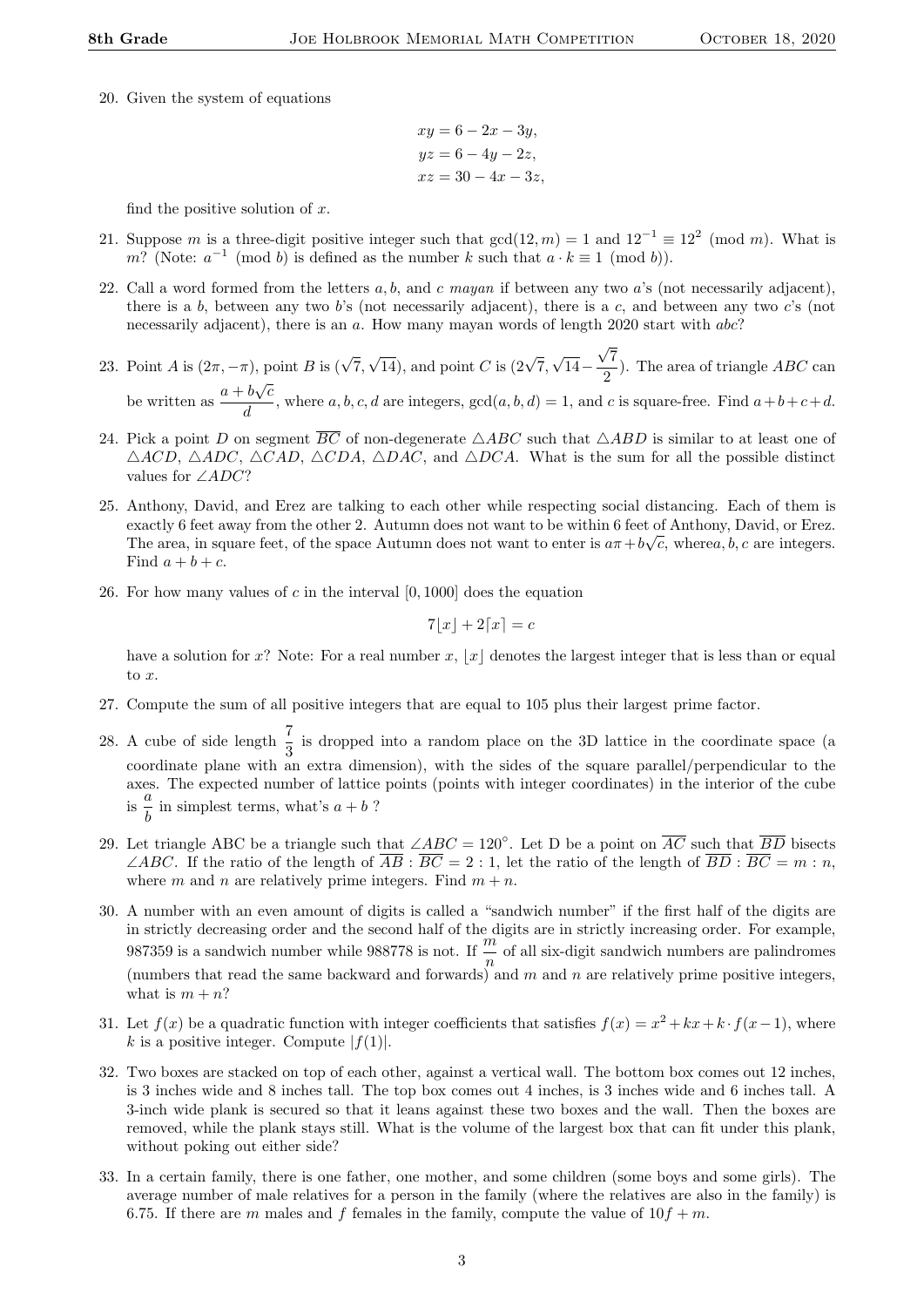20. Given the system of equations

$$
xy = 6 - 2x - 3y,
$$
  
\n
$$
yz = 6 - 4y - 2z,
$$
  
\n
$$
xz = 30 - 4x - 3z,
$$

find the positive solution of  $x$ .

- 21. Suppose m is a three-digit positive integer such that  $gcd(12, m) = 1$  and  $12^{-1} \equiv 12^2 \pmod{m}$ . What is m? (Note:  $a^{-1}$  (mod b) is defined as the number k such that  $a \cdot k \equiv 1 \pmod{b}$ ).
- 22. Call a word formed from the letters  $a, b$ , and c mayan if between any two a's (not necessarily adjacent), there is a b, between any two b's (not necessarily adjacent), there is a c, and between any two c's (not necessarily adjacent), there is an a. How many mayan words of length 2020 start with abc?
- 23. Point A is  $(2\pi, -\pi)$ , point B is  $(\sqrt{7},$  $\sqrt{14}$ ), and point C is  $(2\sqrt{7},$ √ 14− 7  $\frac{1}{2}$ ). The area of triangle *ABC* can be written as  $\frac{a+b\sqrt{c}}{b}$ √  $\frac{\partial \mathbf{v} \cdot \mathbf{v}}{\partial d}$ , where a, b, c, d are integers,  $gcd(a, b, d) = 1$ , and c is square-free. Find  $a+b+c+d$ .

√

- 24. Pick a point D on segment  $\overline{BC}$  of non-degenerate  $\triangle ABC$  such that  $\triangle ABD$  is similar to at least one of  $\triangle ACD$ ,  $\triangle ADC$ ,  $\triangle CAD$ ,  $\triangle CDA$ ,  $\triangle DAC$ , and  $\triangle DCA$ . What is the sum for all the possible distinct values for ∠ADC?
- 25. Anthony, David, and Erez are talking to each other while respecting social distancing. Each of them is exactly 6 feet away from the other 2. Autumn does not want to be within 6 feet of Anthony, David, or Erez. The area, in square feet, of the space Autumn does not want to enter is  $a\pi + b\sqrt{c}$ , wherea, b, c are integers. Find  $a + b + c$ .
- 26. For how many values of c in the interval  $[0, 1000]$  does the equation

$$
7\lfloor x \rfloor + 2\lceil x \rceil = c
$$

have a solution for x? Note: For a real number x, |x| denotes the largest integer that is less than or equal to x.

- 27. Compute the sum of all positive integers that are equal to 105 plus their largest prime factor.
- 28. A cube of side length  $\frac{7}{3}$  is dropped into a random place on the 3D lattice in the coordinate space (a coordinate plane with an extra dimension), with the sides of the square parallel/perpendicular to the axes. The expected number of lattice points (points with integer coordinates) in the interior of the cube  $\frac{a}{\text{is}}$   $\frac{a}{\tau}$  $\frac{a}{b}$  in simplest terms, what's  $a + b$ ?
- 29. Let triangle ABC be a triangle such that  $\angle ABC = 120^{\circ}$ . Let D be a point on  $\overline{AC}$  such that  $\overline{BD}$  bisects  $\angle ABC$ . If the ratio of the length of  $\overline{AB}$ :  $\overline{BC} = 2:1$ , let the ratio of the length of  $\overline{BD}$ :  $\overline{BC} = m:n$ , where m and n are relatively prime integers. Find  $m + n$ .
- 30. A number with an even amount of digits is called a "sandwich number" if the first half of the digits are in strictly decreasing order and the second half of the digits are in strictly increasing order. For example, 987359 is a sandwich number while 988778 is not. If  $\frac{m}{n}$  of all six-digit sandwich numbers are palindromes (numbers that read the same backward and forwards) and  $m$  and  $n$  are relatively prime positive integers, what is  $m + n$ ?
- 31. Let  $f(x)$  be a quadratic function with integer coefficients that satisfies  $f(x) = x^2 + kx + k \cdot f(x-1)$ , where k is a positive integer. Compute  $|f(1)|$ .
- 32. Two boxes are stacked on top of each other, against a vertical wall. The bottom box comes out 12 inches, is 3 inches wide and 8 inches tall. The top box comes out 4 inches, is 3 inches wide and 6 inches tall. A 3-inch wide plank is secured so that it leans against these two boxes and the wall. Then the boxes are removed, while the plank stays still. What is the volume of the largest box that can fit under this plank, without poking out either side?
- 33. In a certain family, there is one father, one mother, and some children (some boys and some girls). The average number of male relatives for a person in the family (where the relatives are also in the family) is 6.75. If there are m males and f females in the family, compute the value of  $10f + m$ .